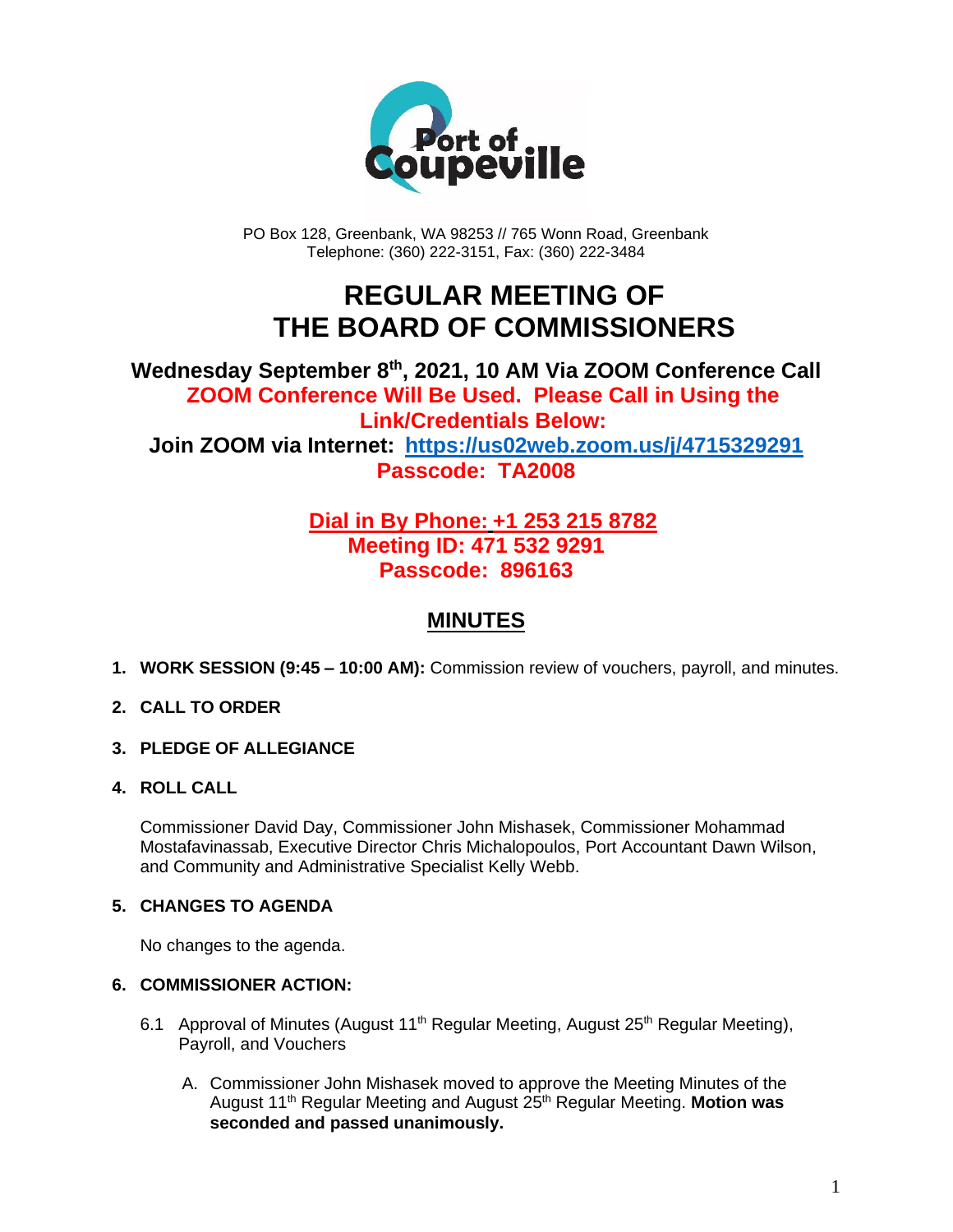

PO Box 128, Greenbank, WA 98253 // 765 Wonn Road, Greenbank Telephone: (360) 222-3151, Fax: (360) 222-3484

## **REGULAR MEETING OF THE BOARD OF COMMISSIONERS**

### **Wednesday September 8th , 2021, 10 AM Via ZOOM Conference Call ZOOM Conference Will Be Used. Please Call in Using the Link/Credentials Below: Join ZOOM via Internet: <https://us02web.zoom.us/j/4715329291> Passcode: TA2008**

## **Dial in By Phone: +1 253 215 8782 Meeting ID: 471 532 9291 Passcode: 896163**

## **MINUTES**

**1. WORK SESSION (9:45 – 10:00 AM):** Commission review of vouchers, payroll, and minutes.

#### **2. CALL TO ORDER**

**3. PLEDGE OF ALLEGIANCE**

#### **4. ROLL CALL**

Commissioner David Day, Commissioner John Mishasek, Commissioner Mohammad Mostafavinassab, Executive Director Chris Michalopoulos, Port Accountant Dawn Wilson, and Community and Administrative Specialist Kelly Webb.

#### **5. CHANGES TO AGENDA**

No changes to the agenda.

#### **6. COMMISSIONER ACTION:**

- 6.1 Approval of Minutes (August 11<sup>th</sup> Regular Meeting, August 25<sup>th</sup> Regular Meeting), Payroll, and Vouchers
	- A. Commissioner John Mishasek moved to approve the Meeting Minutes of the August 11<sup>th</sup> Regular Meeting and August 25<sup>th</sup> Regular Meeting. **Motion was seconded and passed unanimously.**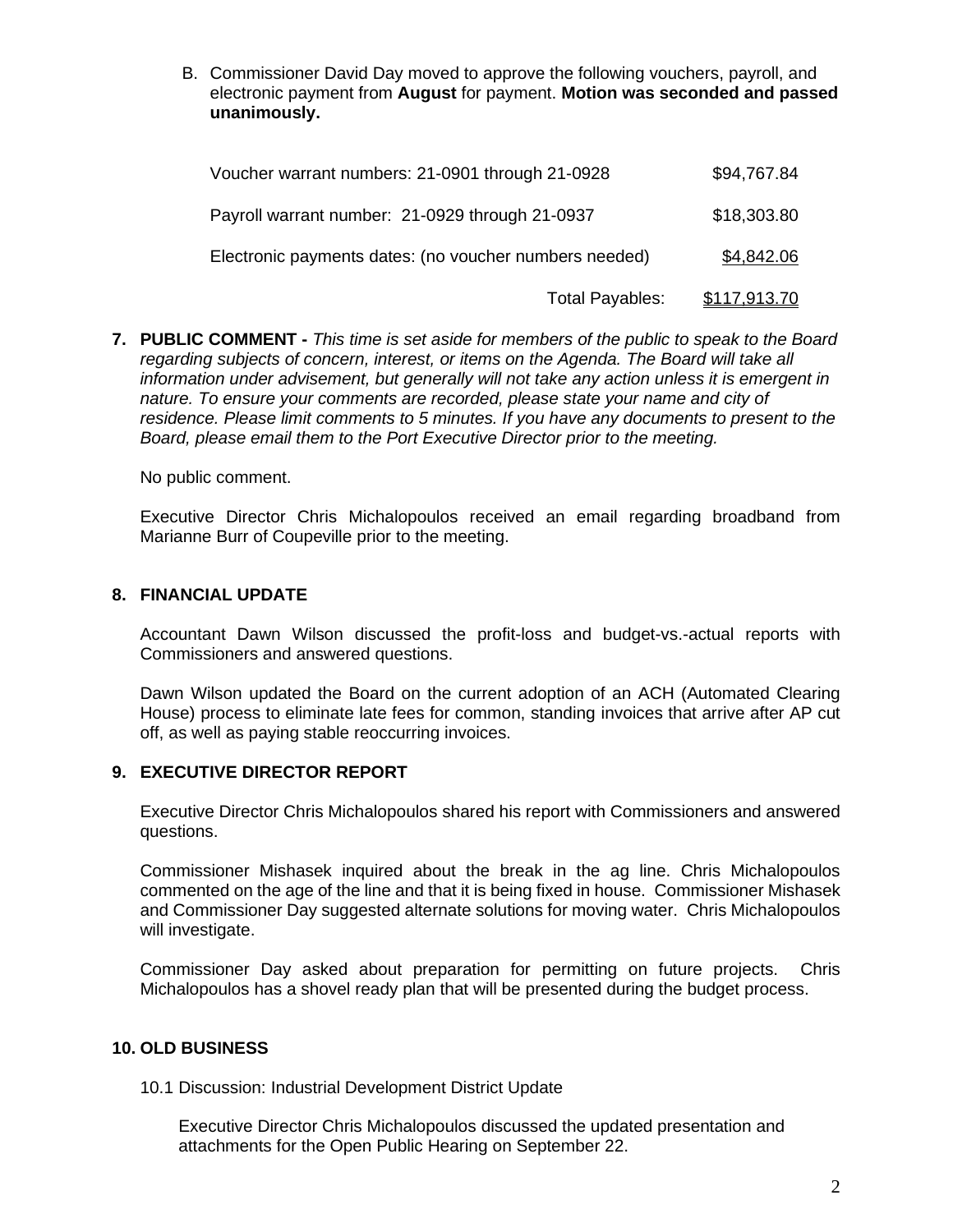B. Commissioner David Day moved to approve the following vouchers, payroll, and electronic payment from **August** for payment. **Motion was seconded and passed unanimously.**

| Voucher warrant numbers: 21-0901 through 21-0928       | \$94,767.84  |
|--------------------------------------------------------|--------------|
| Payroll warrant number: 21-0929 through 21-0937        | \$18,303.80  |
| Electronic payments dates: (no voucher numbers needed) | \$4,842.06   |
| Total Payables:                                        | \$117,913.70 |

**7. PUBLIC COMMENT -** *This time is set aside for members of the public to speak to the Board regarding subjects of concern, interest, or items on the Agenda. The Board will take all information under advisement, but generally will not take any action unless it is emergent in nature. To ensure your comments are recorded, please state your name and city of residence. Please limit comments to 5 minutes. If you have any documents to present to the Board, please email them to the Port Executive Director prior to the meeting.*

No public comment.

Executive Director Chris Michalopoulos received an email regarding broadband from Marianne Burr of Coupeville prior to the meeting.

#### **8. FINANCIAL UPDATE**

Accountant Dawn Wilson discussed the profit-loss and budget-vs.-actual reports with Commissioners and answered questions.

Dawn Wilson updated the Board on the current adoption of an ACH (Automated Clearing House) process to eliminate late fees for common, standing invoices that arrive after AP cut off, as well as paying stable reoccurring invoices.

#### **9. EXECUTIVE DIRECTOR REPORT**

Executive Director Chris Michalopoulos shared his report with Commissioners and answered questions.

Commissioner Mishasek inquired about the break in the ag line. Chris Michalopoulos commented on the age of the line and that it is being fixed in house. Commissioner Mishasek and Commissioner Day suggested alternate solutions for moving water. Chris Michalopoulos will investigate.

Commissioner Day asked about preparation for permitting on future projects. Chris Michalopoulos has a shovel ready plan that will be presented during the budget process.

#### **10. OLD BUSINESS**

10.1 Discussion: Industrial Development District Update

Executive Director Chris Michalopoulos discussed the updated presentation and attachments for the Open Public Hearing on September 22.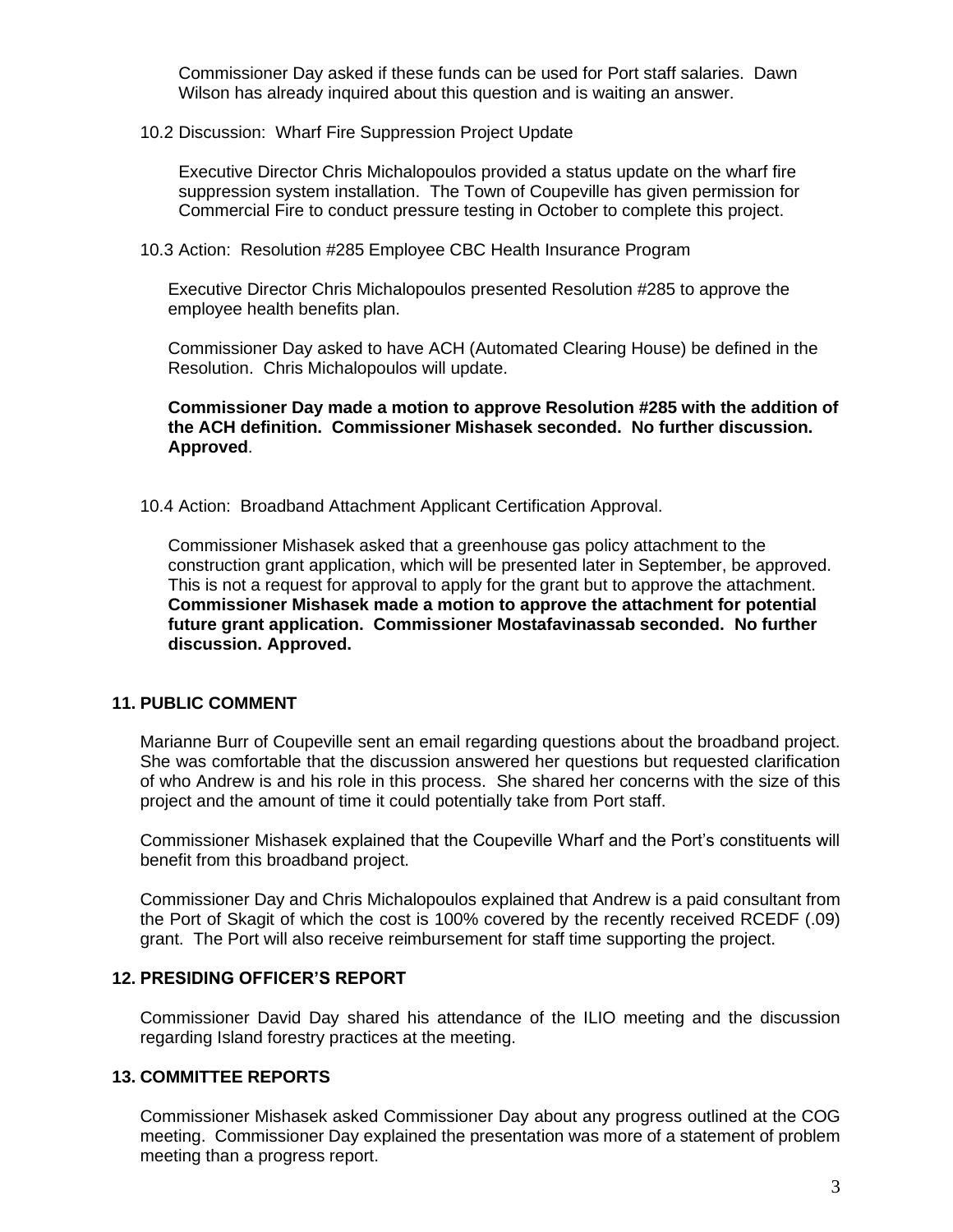Commissioner Day asked if these funds can be used for Port staff salaries. Dawn Wilson has already inquired about this question and is waiting an answer.

#### 10.2 Discussion: Wharf Fire Suppression Project Update

Executive Director Chris Michalopoulos provided a status update on the wharf fire suppression system installation. The Town of Coupeville has given permission for Commercial Fire to conduct pressure testing in October to complete this project.

#### 10.3 Action: Resolution #285 Employee CBC Health Insurance Program

Executive Director Chris Michalopoulos presented Resolution #285 to approve the employee health benefits plan.

Commissioner Day asked to have ACH (Automated Clearing House) be defined in the Resolution. Chris Michalopoulos will update.

**Commissioner Day made a motion to approve Resolution #285 with the addition of the ACH definition. Commissioner Mishasek seconded. No further discussion. Approved**.

#### 10.4 Action: Broadband Attachment Applicant Certification Approval.

Commissioner Mishasek asked that a greenhouse gas policy attachment to the construction grant application, which will be presented later in September, be approved. This is not a request for approval to apply for the grant but to approve the attachment. **Commissioner Mishasek made a motion to approve the attachment for potential future grant application. Commissioner Mostafavinassab seconded. No further discussion. Approved.**

#### **11. PUBLIC COMMENT**

Marianne Burr of Coupeville sent an email regarding questions about the broadband project. She was comfortable that the discussion answered her questions but requested clarification of who Andrew is and his role in this process. She shared her concerns with the size of this project and the amount of time it could potentially take from Port staff.

Commissioner Mishasek explained that the Coupeville Wharf and the Port's constituents will benefit from this broadband project.

Commissioner Day and Chris Michalopoulos explained that Andrew is a paid consultant from the Port of Skagit of which the cost is 100% covered by the recently received RCEDF (.09) grant. The Port will also receive reimbursement for staff time supporting the project.

#### **12. PRESIDING OFFICER'S REPORT**

Commissioner David Day shared his attendance of the ILIO meeting and the discussion regarding Island forestry practices at the meeting.

#### **13. COMMITTEE REPORTS**

Commissioner Mishasek asked Commissioner Day about any progress outlined at the COG meeting. Commissioner Day explained the presentation was more of a statement of problem meeting than a progress report.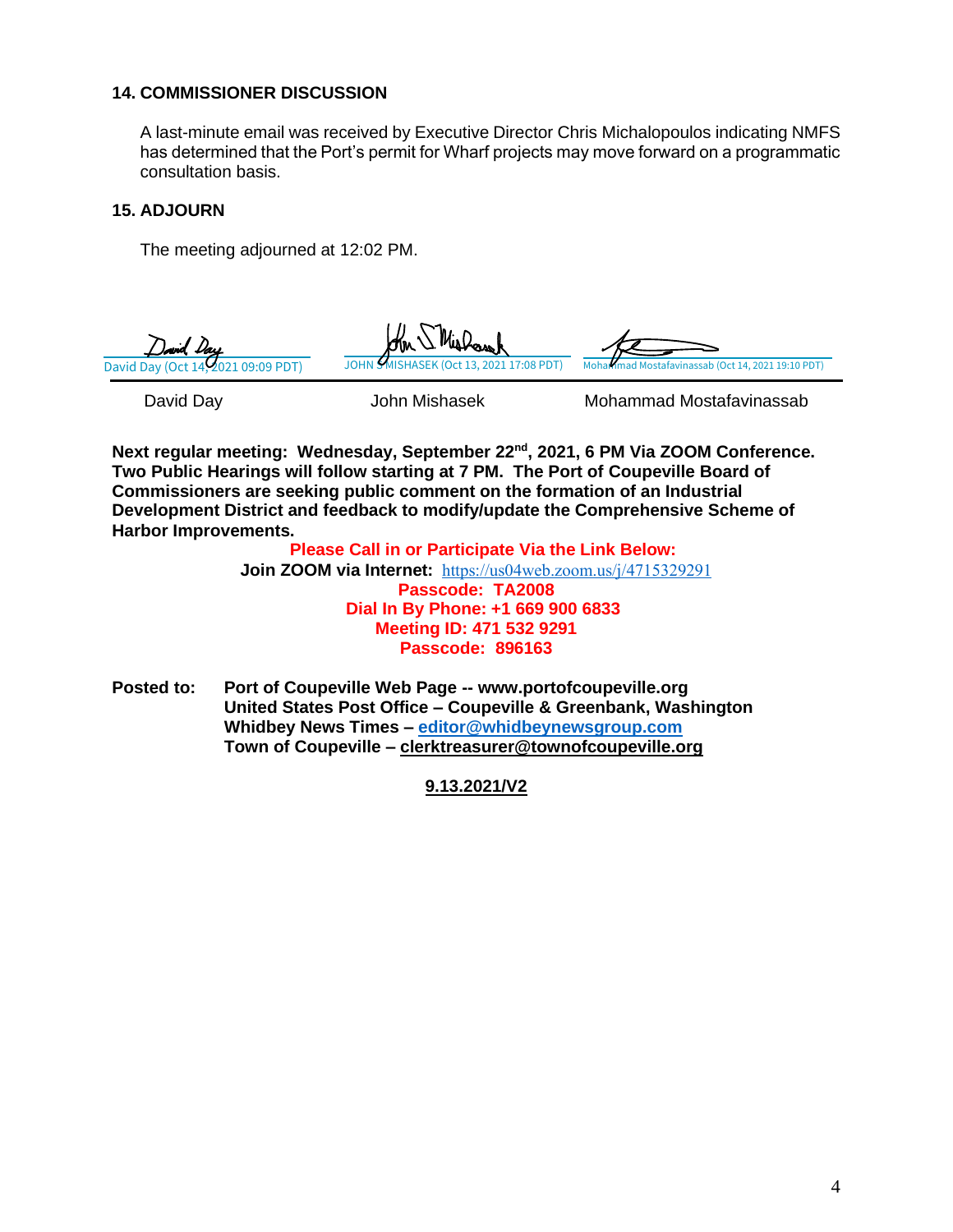#### **14. COMMISSIONER DISCUSSION**

A last-minute email was received by Executive Director Chris Michalopoulos indicating NMFS has determined that the Port's permit for Wharf projects may move forward on a programmatic consultation basis.

#### **15. ADJOURN**

The meeting adjourned at 12:02 PM.

| David Day                                       | John Mishasek                                      | Mohammad Mostafavinassab                          |
|-------------------------------------------------|----------------------------------------------------|---------------------------------------------------|
| David Day<br>David Day (Oct 14, 2021 09:09 PDT) | Wishamk<br>JOHN SMISHASEK (Oct 13, 2021 17:08 PDT) | Mohammad Mostafavinassab (Oct 14, 2021 19:10 PDT) |

**Next regular meeting: Wednesday, September 22nd, 2021, 6 PM Via ZOOM Conference. Two Public Hearings will follow starting at 7 PM. The Port of Coupeville Board of Commissioners are seeking public comment on the formation of an Industrial Development District and feedback to modify/update the Comprehensive Scheme of Harbor Improvements.**

> **Please Call in or Participate Via the Link Below: Join ZOOM via Internet:** <https://us04web.zoom.us/j/4715329291> **Passcode: TA2008 Dial In By Phone: +1 669 900 6833 Meeting ID: 471 532 9291 Passcode: 896163**

**Posted to: Port of Coupeville Web Page -- www.portofcoupeville.org United States Post Office – Coupeville & Greenbank, Washington Whidbey News Times – [editor@whidbeynewsgroup.com](mailto:editor@whidbeynewsgroup.com) Town of Coupeville – [clerktreasurer@townofcoupeville.org](mailto:clerktreasurer@townofcoupeville.org)**

**9.13.2021/V2**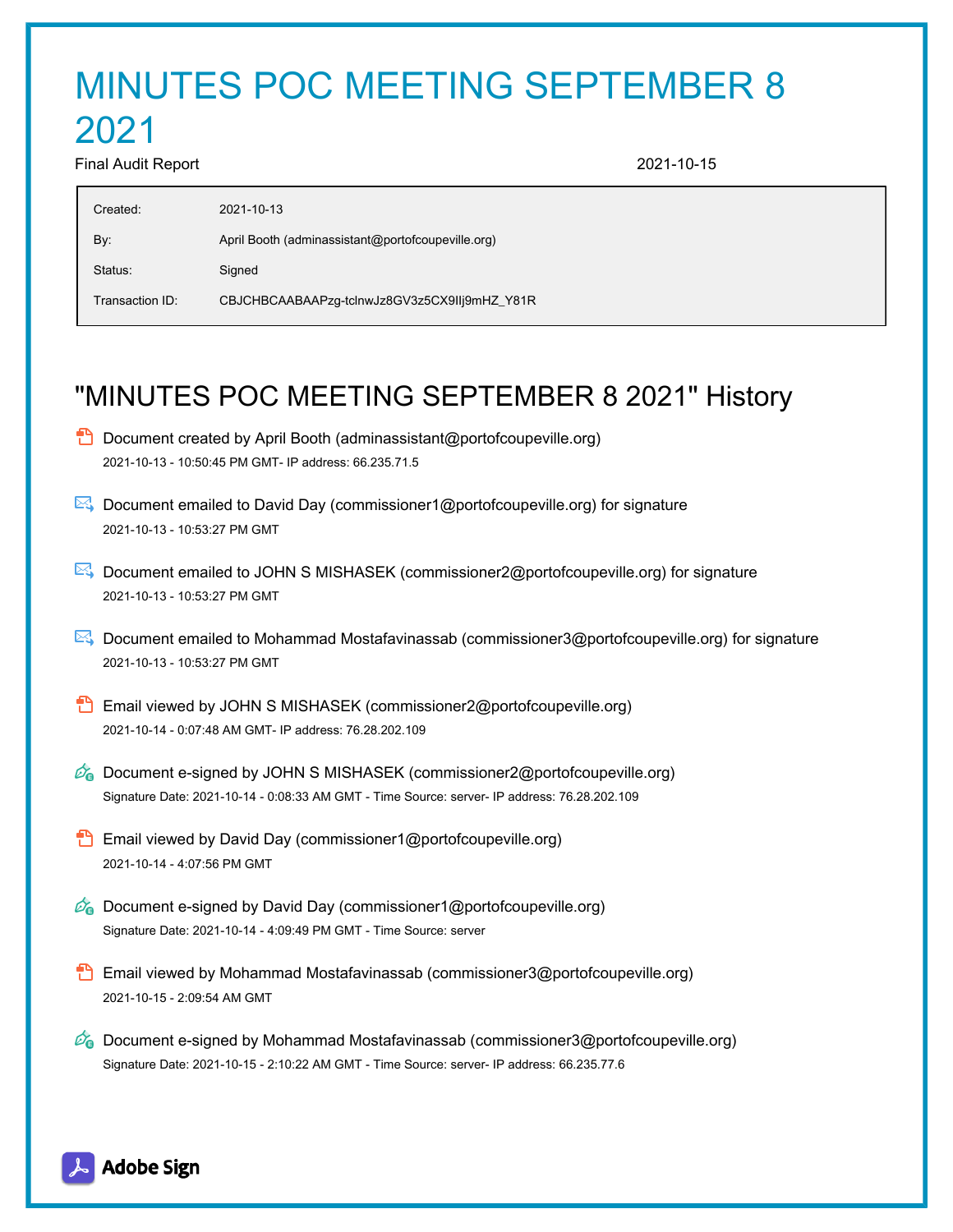# MINUTES POC MEETING SEPTEMBER 8

# 2021

Final Audit Report 2021-10-15

| Created:        | 2021-10-13                                        |
|-----------------|---------------------------------------------------|
| By:             | April Booth (adminassistant@portofcoupeville.org) |
| Status:         | Signed                                            |
| Transaction ID: | CBJCHBCAABAAPzg-tclnwJz8GV3z5CX9IIj9mHZ_Y81R      |
|                 |                                                   |

# "MINUTES POC MEETING SEPTEMBER 8 2021" History

- $\Box$  Document created by April Booth (adminassistant@portofcoupeville.org) 2021-10-13 - 10:50:45 PM GMT- IP address: 66.235.71.5
- Document emailed to David Day (commissioner1@portofcoupeville.org) for signature 2021-10-13 - 10:53:27 PM GMT
- Document emailed to JOHN S MISHASEK (commissioner2@portofcoupeville.org) for signature 2021-10-13 - 10:53:27 PM GMT
- Document emailed to Mohammad Mostafavinassab (commissioner3@portofcoupeville.org) for signature 2021-10-13 - 10:53:27 PM GMT
- **B** Email viewed by JOHN S MISHASEK (commissioner2@portofcoupeville.org) 2021-10-14 - 0:07:48 AM GMT- IP address: 76.28.202.109
- $\mathcal{O}_0$  Document e-signed by JOHN S MISHASEK (commissioner2@portofcoupeville.org) Signature Date: 2021-10-14 - 0:08:33 AM GMT - Time Source: server- IP address: 76.28.202.109
- **Email viewed by David Day (commissioner1@portofcoupeville.org)** 2021-10-14 - 4:07:56 PM GMT
- $\mathscr{O}_\bullet$  Document e-signed by David Day (commissioner1@portofcoupeville.org) Signature Date: 2021-10-14 - 4:09:49 PM GMT - Time Source: server
- **Email viewed by Mohammad Mostafavinassab (commissioner3@portofcoupeville.org)** 2021-10-15 - 2:09:54 AM GMT
- $\mathscr{D}_\bullet$  Document e-signed by Mohammad Mostafavinassab (commissioner3@portofcoupeville.org) Signature Date: 2021-10-15 - 2:10:22 AM GMT - Time Source: server- IP address: 66.235.77.6